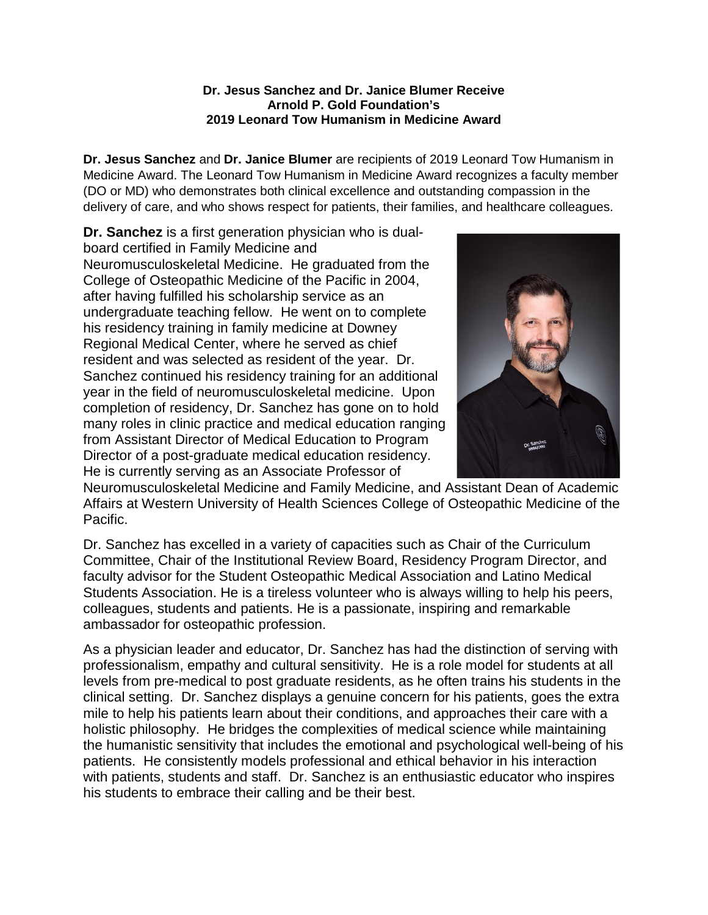## **Dr. Jesus Sanchez and Dr. Janice Blumer Receive Arnold P. Gold Foundation's 2019 Leonard Tow Humanism in Medicine Award**

**Dr. Jesus Sanchez** and **Dr. Janice Blumer** are recipients of 2019 Leonard Tow Humanism in Medicine Award. The Leonard Tow Humanism in Medicine Award recognizes a faculty member (DO or MD) who demonstrates both clinical excellence and outstanding compassion in the delivery of care, and who shows respect for patients, their families, and healthcare colleagues.

**Dr. Sanchez** is a first generation physician who is dualboard certified in Family Medicine and Neuromusculoskeletal Medicine. He graduated from the College of Osteopathic Medicine of the Pacific in 2004, after having fulfilled his scholarship service as an undergraduate teaching fellow. He went on to complete his residency training in family medicine at Downey Regional Medical Center, where he served as chief resident and was selected as resident of the year. Dr. Sanchez continued his residency training for an additional year in the field of neuromusculoskeletal medicine. Upon completion of residency, Dr. Sanchez has gone on to hold many roles in clinic practice and medical education ranging from Assistant Director of Medical Education to Program Director of a post-graduate medical education residency. He is currently serving as an Associate Professor of



Neuromusculoskeletal Medicine and Family Medicine, and Assistant Dean of Academic Affairs at Western University of Health Sciences College of Osteopathic Medicine of the Pacific.

Dr. Sanchez has excelled in a variety of capacities such as Chair of the Curriculum Committee, Chair of the Institutional Review Board, Residency Program Director, and faculty advisor for the Student Osteopathic Medical Association and Latino Medical Students Association. He is a tireless volunteer who is always willing to help his peers, colleagues, students and patients. He is a passionate, inspiring and remarkable ambassador for osteopathic profession.

As a physician leader and educator, Dr. Sanchez has had the distinction of serving with professionalism, empathy and cultural sensitivity. He is a role model for students at all levels from pre-medical to post graduate residents, as he often trains his students in the clinical setting. Dr. Sanchez displays a genuine concern for his patients, goes the extra mile to help his patients learn about their conditions, and approaches their care with a holistic philosophy. He bridges the complexities of medical science while maintaining the humanistic sensitivity that includes the emotional and psychological well-being of his patients. He consistently models professional and ethical behavior in his interaction with patients, students and staff. Dr. Sanchez is an enthusiastic educator who inspires his students to embrace their calling and be their best.